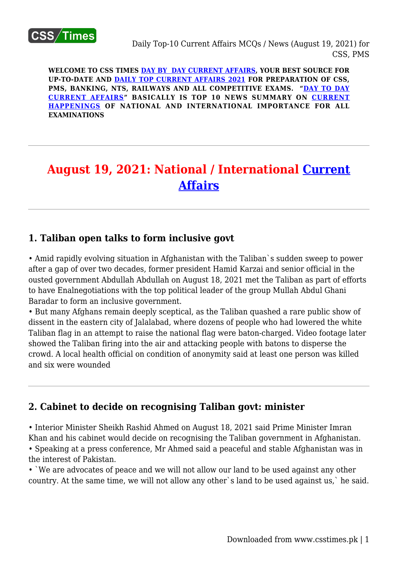

**WELCOME TO CSS TIMES [DAY BY DAY CURRENT AFFAIRS](https://www.csstimes.pk/category/csssubject/csscompulsorysubjects/currentaffairs/), YOUR BEST SOURCE FOR UP-TO-DATE AND [DAILY TOP CURRENT AFFAIRS 2021](https://www.csstimes.pk/category/csssubject/csscompulsorysubjects/currentaffairs/) FOR PREPARATION OF CSS, PMS, BANKING, NTS, RAILWAYS AND ALL COMPETITIVE EXAMS. "[DAY TO DAY](https://www.csstimes.pk/category/csssubject/csscompulsorysubjects/currentaffairs/) [CURRENT AFFAIRS"](https://www.csstimes.pk/category/csssubject/csscompulsorysubjects/currentaffairs/) BASICALLY IS TOP 10 NEWS SUMMARY ON [CURRENT](https://www.csstimes.pk/category/csssubject/csscompulsorysubjects/currentaffairs/) [HAPPENINGS](https://www.csstimes.pk/category/csssubject/csscompulsorysubjects/currentaffairs/) OF NATIONAL AND INTERNATIONAL IMPORTANCE FOR ALL EXAMINATIONS**

# **August 19, 2021: National / International [Current](https://www.csstimes.pk/category/csssubject/csscompulsorysubjects/currentaffairs/) [Affairs](https://www.csstimes.pk/category/csssubject/csscompulsorysubjects/currentaffairs/)**

## **1. Taliban open talks to form inclusive govt**

• Amid rapidly evolving situation in Afghanistan with the Taliban`s sudden sweep to power after a gap of over two decades, former president Hamid Karzai and senior official in the ousted government Abdullah Abdullah on August 18, 2021 met the Taliban as part of efforts to have Enalnegotiations with the top political leader of the group Mullah Abdul Ghani Baradar to form an inclusive government.

• But many Afghans remain deeply sceptical, as the Taliban quashed a rare public show of dissent in the eastern city of Jalalabad, where dozens of people who had lowered the white Taliban flag in an attempt to raise the national flag were baton-charged. Video footage later showed the Taliban firing into the air and attacking people with batons to disperse the crowd. A local health official on condition of anonymity said at least one person was killed and six were wounded

## **2. Cabinet to decide on recognising Taliban govt: minister**

• Interior Minister Sheikh Rashid Ahmed on August 18, 2021 said Prime Minister Imran Khan and his cabinet would decide on recognising the Taliban government in Afghanistan. • Speaking at a press conference, Mr Ahmed said a peaceful and stable Afghanistan was in the interest of Pakistan.

• `We are advocates of peace and we will not allow our land to be used against any other country. At the same time, we will not allow any other`s land to be used against us,` he said.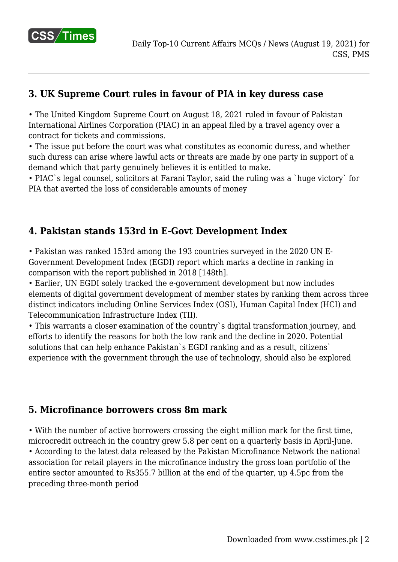

# **3. UK Supreme Court rules in favour of PIA in key duress case**

• The United Kingdom Supreme Court on August 18, 2021 ruled in favour of Pakistan International Airlines Corporation (PIAC) in an appeal filed by a travel agency over a contract for tickets and commissions.

• The issue put before the court was what constitutes as economic duress, and whether such duress can arise where lawful acts or threats are made by one party in support of a demand which that party genuinely believes it is entitled to make.

• PIAC`s legal counsel, solicitors at Farani Taylor, said the ruling was a `huge victory` for PIA that averted the loss of considerable amounts of money

# **4. Pakistan stands 153rd in E-Govt Development Index**

• Pakistan was ranked 153rd among the 193 countries surveyed in the 2020 UN E-Government Development Index (EGDI) report which marks a decline in ranking in comparison with the report published in 2018 [148th].

• Earlier, UN EGDI solely tracked the e-government development but now includes elements of digital government development of member states by ranking them across three distinct indicators including Online Services Index (OSI), Human Capital Index (HCI) and Telecommunication Infrastructure Index (TII).

• This warrants a closer examination of the country`s digital transformation journey, and efforts to identify the reasons for both the low rank and the decline in 2020. Potential solutions that can help enhance Pakistan`s EGDI ranking and as a result, citizens` experience with the government through the use of technology, should also be explored

## **5. Microfinance borrowers cross 8m mark**

• With the number of active borrowers crossing the eight million mark for the first time, microcredit outreach in the country grew 5.8 per cent on a quarterly basis in April-June. • According to the latest data released by the Pakistan Microfinance Network the national association for retail players in the microfinance industry the gross loan portfolio of the entire sector amounted to Rs355.7 billion at the end of the quarter, up 4.5pc from the preceding three-month period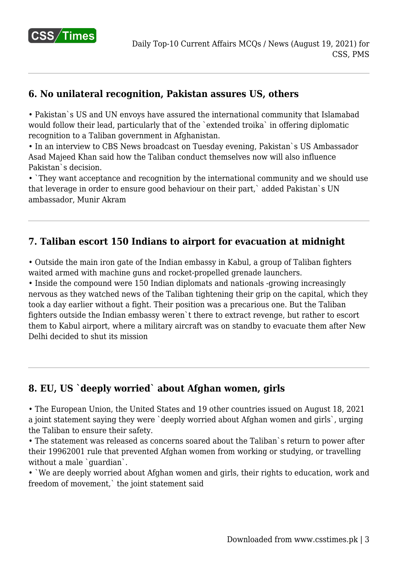

# **6. No unilateral recognition, Pakistan assures US, others**

• Pakistan`s US and UN envoys have assured the international community that Islamabad would follow their lead, particularly that of the `extended troika` in offering diplomatic recognition to a Taliban government in Afghanistan.

• In an interview to CBS News broadcast on Tuesday evening, Pakistan`s US Ambassador Asad Majeed Khan said how the Taliban conduct themselves now will also influence Pakistan`s decision.

• `They want acceptance and recognition by the international community and we should use that leverage in order to ensure good behaviour on their part,` added Pakistan`s UN ambassador, Munir Akram

#### **7. Taliban escort 150 Indians to airport for evacuation at midnight**

• Outside the main iron gate of the Indian embassy in Kabul, a group of Taliban fighters waited armed with machine guns and rocket-propelled grenade launchers.

• Inside the compound were 150 Indian diplomats and nationals -growing increasingly nervous as they watched news of the Taliban tightening their grip on the capital, which they took a day earlier without a fight. Their position was a precarious one. But the Taliban fighters outside the Indian embassy weren`t there to extract revenge, but rather to escort them to Kabul airport, where a military aircraft was on standby to evacuate them after New Delhi decided to shut its mission

## **8. EU, US `deeply worried` about Afghan women, girls**

• The European Union, the United States and 19 other countries issued on August 18, 2021 a joint statement saying they were `deeply worried about Afghan women and girls`, urging the Taliban to ensure their safety.

• The statement was released as concerns soared about the Taliban`s return to power after their 19962001 rule that prevented Afghan women from working or studying, or travelling without a male `quardian`.

• `We are deeply worried about Afghan women and girls, their rights to education, work and freedom of movement,` the joint statement said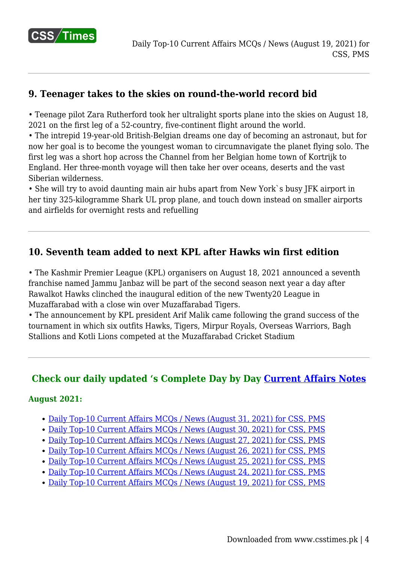

# **9. Teenager takes to the skies on round-the-world record bid**

• Teenage pilot Zara Rutherford took her ultralight sports plane into the skies on August 18, 2021 on the first leg of a 52-country, five-continent flight around the world.

• The intrepid 19-year-old British-Belgian dreams one day of becoming an astronaut, but for now her goal is to become the youngest woman to circumnavigate the planet flying solo. The first leg was a short hop across the Channel from her Belgian home town of Kortrijk to England. Her three-month voyage will then take her over oceans, deserts and the vast Siberian wilderness.

• She will try to avoid daunting main air hubs apart from New York`s busy JFK airport in her tiny 325-kilogramme Shark UL prop plane, and touch down instead on smaller airports and airfields for overnight rests and refuelling

## **10. Seventh team added to next KPL after Hawks win first edition**

• The Kashmir Premier League (KPL) organisers on August 18, 2021 announced a seventh franchise named Jammu Janbaz will be part of the second season next year a day after Rawalkot Hawks clinched the inaugural edition of the new Twenty20 League in Muzaffarabad with a close win over Muzaffarabad Tigers.

• The announcement by KPL president Arif Malik came following the grand success of the tournament in which six outfits Hawks, Tigers, Mirpur Royals, Overseas Warriors, Bagh Stallions and Kotli Lions competed at the Muzaffarabad Cricket Stadium

## **Check our daily updated 's Complete Day by Day [Current Affairs Notes](https://www.csstimes.pk/category/csssubject/csscompulsorysubjects/currentaffairs/)**

#### **August 2021:**

- [Daily Top-10 Current Affairs MCQs / News \(August 31, 2021\) for CSS, PMS](https://www.csstimes.pk/current-affairs-mcqs-aug-31-2021/)
- [Daily Top-10 Current Affairs MCQs / News \(August 30, 2021\) for CSS, PMS](https://www.csstimes.pk/current-affairs-mcqs-aug-30-2021/)
- [Daily Top-10 Current Affairs MCQs / News \(August 27, 2021\) for CSS, PMS](https://www.csstimes.pk/current-affairs-mcqs-aug-27-2021/)
- [Daily Top-10 Current Affairs MCQs / News \(August 26, 2021\) for CSS, PMS](https://www.csstimes.pk/current-affairs-mcqs-aug-26-2021/)
- [Daily Top-10 Current Affairs MCQs / News \(August 25, 2021\) for CSS, PMS](https://www.csstimes.pk/current-affairs-mcqs-aug-25-2021/)
- [Daily Top-10 Current Affairs MCQs / News \(August 24, 2021\) for CSS, PMS](https://www.csstimes.pk/current-affairs-mcqs-aug-24-2021/)
- [Daily Top-10 Current Affairs MCQs / News \(August 19, 2021\) for CSS, PMS](https://www.csstimes.pk/current-affairs-mcqs-aug-19-2021/)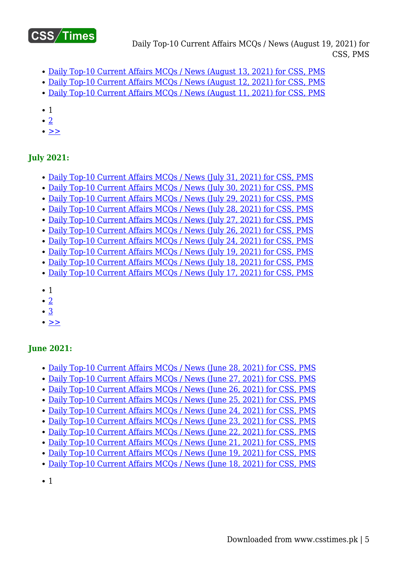

Daily Top-10 Current Affairs MCQs / News (August 19, 2021) for CSS, PMS

- [Daily Top-10 Current Affairs MCQs / News \(August 13, 2021\) for CSS, PMS](https://www.csstimes.pk/current-affairs-mcqs-aug-13-2021/)
- [Daily Top-10 Current Affairs MCQs / News \(August 12, 2021\) for CSS, PMS](https://www.csstimes.pk/current-affairs-mcqs-aug-12-2021/)
- [Daily Top-10 Current Affairs MCQs / News \(August 11, 2021\) for CSS, PMS](https://www.csstimes.pk/current-affairs-mcqs-aug-11-2021/)
- 1
- $\bullet$  [2](https://www.csstimes.pk/current-affairs-mcqs-aug-19-2021/?pdf=18307&lcp_page0=2#lcp_instance_0)
- $\bullet \geq$

#### **July 2021:**

- Daily Top-10 Current Affairs MCOs / News (July 31, 2021) for CSS, PMS
- [Daily Top-10 Current Affairs MCQs / News \(July 30, 2021\) for CSS, PMS](https://www.csstimes.pk/current-affairs-mcqs-july-30-2021/)
- [Daily Top-10 Current Affairs MCQs / News \(July 29, 2021\) for CSS, PMS](https://www.csstimes.pk/current-affairs-mcqs-july-29-2021/)
- [Daily Top-10 Current Affairs MCQs / News \(July 28, 2021\) for CSS, PMS](https://www.csstimes.pk/current-affairs-mcqs-july-28-2021/)
- Daily Top-10 Current Affairs MCOs / News (July 27, 2021) for CSS, PMS
- [Daily Top-10 Current Affairs MCQs / News \(July 26, 2021\) for CSS, PMS](https://www.csstimes.pk/current-affairs-mcqs-jul-26-2021/)
- [Daily Top-10 Current Affairs MCQs / News \(July 24, 2021\) for CSS, PMS](https://www.csstimes.pk/current-affairs-mcqs-jul-24-2021/)
- [Daily Top-10 Current Affairs MCQs / News \(July 19, 2021\) for CSS, PMS](https://www.csstimes.pk/current-affairs-mcqs-jul-19-2021/)
- [Daily Top-10 Current Affairs MCQs / News \(July 18, 2021\) for CSS, PMS](https://www.csstimes.pk/current-affairs-mcqs-jul-18-2021/)
- [Daily Top-10 Current Affairs MCQs / News \(July 17, 2021\) for CSS, PMS](https://www.csstimes.pk/current-affairs-mcqs-jul-17-2021/)
- $\bullet$  1
- $\bullet$  [2](https://www.csstimes.pk/current-affairs-mcqs-aug-19-2021/?pdf=18307&lcp_page0=2#lcp_instance_0)
- [3](https://www.csstimes.pk/current-affairs-mcqs-aug-19-2021/?pdf=18307&lcp_page0=3#lcp_instance_0)
- $\bullet \geq$

#### **June 2021:**

- [Daily Top-10 Current Affairs MCQs / News \(June 28, 2021\) for CSS, PMS](https://www.csstimes.pk/current-affairs-mcqs-june-28-2021/)
- [Daily Top-10 Current Affairs MCQs / News \(June 27, 2021\) for CSS, PMS](https://www.csstimes.pk/current-affairs-mcqs-june-27-2021/)
- [Daily Top-10 Current Affairs MCQs / News \(June 26, 2021\) for CSS, PMS](https://www.csstimes.pk/current-affairs-mcqs-june-26-2021/)
- [Daily Top-10 Current Affairs MCQs / News \(June 25, 2021\) for CSS, PMS](https://www.csstimes.pk/current-affairs-mcqs-june-25-2021/)
- [Daily Top-10 Current Affairs MCQs / News \(June 24, 2021\) for CSS, PMS](https://www.csstimes.pk/current-affairs-mcqs-june-24-2021/)
- [Daily Top-10 Current Affairs MCQs / News \(June 23, 2021\) for CSS, PMS](https://www.csstimes.pk/current-affairs-mcqs-june-23-2021/)
- [Daily Top-10 Current Affairs MCQs / News \(June 22, 2021\) for CSS, PMS](https://www.csstimes.pk/current-affairs-mcqs-june-22-2021/)
- [Daily Top-10 Current Affairs MCQs / News \(June 21, 2021\) for CSS, PMS](https://www.csstimes.pk/current-affairs-mcqs-june-21-2021/)
- [Daily Top-10 Current Affairs MCQs / News \(June 19, 2021\) for CSS, PMS](https://www.csstimes.pk/current-affairs-mcqs-june-19-2021/)
- [Daily Top-10 Current Affairs MCQs / News \(June 18, 2021\) for CSS, PMS](https://www.csstimes.pk/current-affairs-mcqs-june-18-2021/)
- 1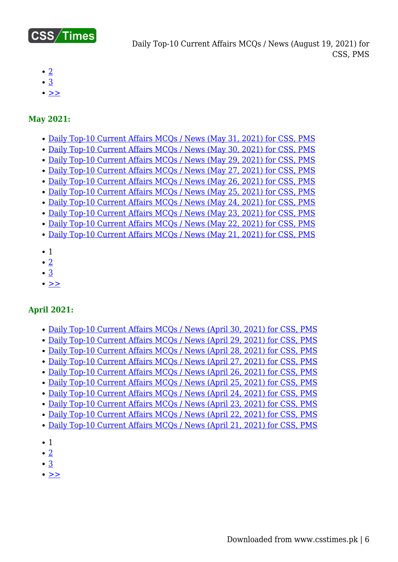

- $\cdot$  [2](https://www.csstimes.pk/current-affairs-mcqs-aug-19-2021/?pdf=18307&lcp_page0=2#lcp_instance_0)
- [3](https://www.csstimes.pk/current-affairs-mcqs-aug-19-2021/?pdf=18307&lcp_page0=3#lcp_instance_0)
- $\cdot$  [>>](https://www.csstimes.pk/current-affairs-mcqs-aug-19-2021/?pdf=18307&lcp_page0=2#lcp_instance_0)

#### **May 2021:**

- [Daily Top-10 Current Affairs MCQs / News \(May 31, 2021\) for CSS, PMS](https://www.csstimes.pk/current-affairs-mcqs-may-31-2021/)
- [Daily Top-10 Current Affairs MCQs / News \(May 30, 2021\) for CSS, PMS](https://www.csstimes.pk/current-affairs-mcqs-may-30-2021/)
- [Daily Top-10 Current Affairs MCQs / News \(May 29, 2021\) for CSS, PMS](https://www.csstimes.pk/current-affairs-mcqs-may-29-2021/)
- [Daily Top-10 Current Affairs MCQs / News \(May 27, 2021\) for CSS, PMS](https://www.csstimes.pk/current-affairs-mcqs-may-27-2021/)
- [Daily Top-10 Current Affairs MCQs / News \(May 26, 2021\) for CSS, PMS](https://www.csstimes.pk/current-affairs-mcqs-may-26-2021/)
- [Daily Top-10 Current Affairs MCQs / News \(May 25, 2021\) for CSS, PMS](https://www.csstimes.pk/current-affairs-mcqs-may-25-2021/)
- [Daily Top-10 Current Affairs MCQs / News \(May 24, 2021\) for CSS, PMS](https://www.csstimes.pk/current-affairs-mcqs-may-24-2021/)
- [Daily Top-10 Current Affairs MCQs / News \(May 23, 2021\) for CSS, PMS](https://www.csstimes.pk/current-affairs-mcqs-may-23-2021/)
- [Daily Top-10 Current Affairs MCQs / News \(May 22, 2021\) for CSS, PMS](https://www.csstimes.pk/current-affairs-mcqs-may-22-2021/)
- [Daily Top-10 Current Affairs MCQs / News \(May 21, 2021\) for CSS, PMS](https://www.csstimes.pk/current-affairs-mcqs-may-21-2021/)
- $\bullet$  1
- $\cdot$  [2](https://www.csstimes.pk/current-affairs-mcqs-aug-19-2021/?pdf=18307&lcp_page0=2#lcp_instance_0)
- $\cdot \underline{3}$  $\cdot \underline{3}$  $\cdot \underline{3}$
- $\cdot$   $\geq$

#### **April 2021:**

- [Daily Top-10 Current Affairs MCQs / News \(April 30, 2021\) for CSS, PMS](https://www.csstimes.pk/current-affairs-mcqs-april-30-2021/)
- [Daily Top-10 Current Affairs MCQs / News \(April 29, 2021\) for CSS, PMS](https://www.csstimes.pk/current-affairs-mcqs-april-29-2021/)
- [Daily Top-10 Current Affairs MCQs / News \(April 28, 2021\) for CSS, PMS](https://www.csstimes.pk/current-affairs-mcqs-april-28-2021/)
- [Daily Top-10 Current Affairs MCQs / News \(April 27, 2021\) for CSS, PMS](https://www.csstimes.pk/current-affairs-mcqs-april-27-2021/)
- [Daily Top-10 Current Affairs MCQs / News \(April 26, 2021\) for CSS, PMS](https://www.csstimes.pk/current-affairs-mcqs-april-26-2021/)
- [Daily Top-10 Current Affairs MCQs / News \(April 25, 2021\) for CSS, PMS](https://www.csstimes.pk/current-affairs-mcqs-april-25-2021/)
- [Daily Top-10 Current Affairs MCQs / News \(April 24, 2021\) for CSS, PMS](https://www.csstimes.pk/current-affairs-mcqs-april-24-2021/)
- [Daily Top-10 Current Affairs MCQs / News \(April 23, 2021\) for CSS, PMS](https://www.csstimes.pk/current-affairs-mcqs-april-23-2021/)
- [Daily Top-10 Current Affairs MCQs / News \(April 22, 2021\) for CSS, PMS](https://www.csstimes.pk/current-affairs-mcqs-april-22-2021/)
- [Daily Top-10 Current Affairs MCQs / News \(April 21, 2021\) for CSS, PMS](https://www.csstimes.pk/current-affairs-mcqs-april-21-2021/)
- $\bullet$  1
- $\bullet$  [2](https://www.csstimes.pk/current-affairs-mcqs-aug-19-2021/?pdf=18307&lcp_page0=2#lcp_instance_0)
- [3](https://www.csstimes.pk/current-affairs-mcqs-aug-19-2021/?pdf=18307&lcp_page0=3#lcp_instance_0)
- $\bullet$  [>>](https://www.csstimes.pk/current-affairs-mcqs-aug-19-2021/?pdf=18307&lcp_page0=2#lcp_instance_0)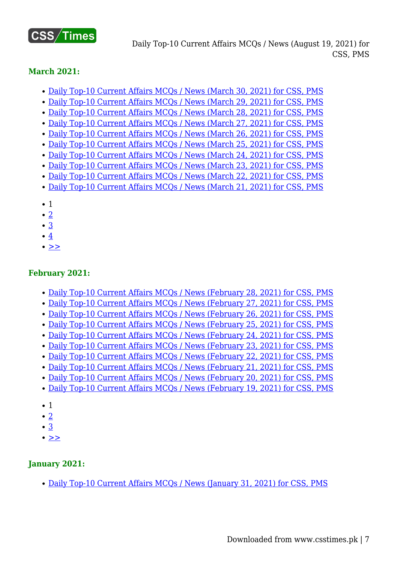

#### **March 2021:**

- [Daily Top-10 Current Affairs MCQs / News \(March 30, 2021\) for CSS, PMS](https://www.csstimes.pk/current-affairs-mcqs-mar-30-2021/)
- [Daily Top-10 Current Affairs MCQs / News \(March 29, 2021\) for CSS, PMS](https://www.csstimes.pk/current-affairs-mcqs-mar-29-2021/)
- [Daily Top-10 Current Affairs MCQs / News \(March 28, 2021\) for CSS, PMS](https://www.csstimes.pk/current-affairs-mcqs-mar-28-2021/)
- [Daily Top-10 Current Affairs MCQs / News \(March 27, 2021\) for CSS, PMS](https://www.csstimes.pk/current-affairs-mcqs-mar-27-2021/)
- [Daily Top-10 Current Affairs MCQs / News \(March 26, 2021\) for CSS, PMS](https://www.csstimes.pk/current-affairs-mcqs-mar-26-2021/)
- [Daily Top-10 Current Affairs MCQs / News \(March 25, 2021\) for CSS, PMS](https://www.csstimes.pk/current-affairs-mcqs-mar-25-2021/)
- [Daily Top-10 Current Affairs MCQs / News \(March 24, 2021\) for CSS, PMS](https://www.csstimes.pk/current-affairs-mcqs-mar-24-2021/) [Daily Top-10 Current Affairs MCQs / News \(March 23, 2021\) for CSS, PMS](https://www.csstimes.pk/current-affairs-mcqs-mar-23-2021/)
- [Daily Top-10 Current Affairs MCQs / News \(March 22, 2021\) for CSS, PMS](https://www.csstimes.pk/current-affairs-mcqs-mar-22-2021/)
- [Daily Top-10 Current Affairs MCQs / News \(March 21, 2021\) for CSS, PMS](https://www.csstimes.pk/current-affairs-mcqs-mar-21-2021/)
- 1
- $\cdot$  [2](https://www.csstimes.pk/current-affairs-mcqs-aug-19-2021/?pdf=18307&lcp_page0=2#lcp_instance_0)
- [3](https://www.csstimes.pk/current-affairs-mcqs-aug-19-2021/?pdf=18307&lcp_page0=3#lcp_instance_0)
- $\cdot$  [4](https://www.csstimes.pk/current-affairs-mcqs-aug-19-2021/?pdf=18307&lcp_page0=4#lcp_instance_0)
- $\bullet$  [>>](https://www.csstimes.pk/current-affairs-mcqs-aug-19-2021/?pdf=18307&lcp_page0=2#lcp_instance_0)

#### **February 2021:**

- [Daily Top-10 Current Affairs MCQs / News \(February 28, 2021\) for CSS, PMS](https://www.csstimes.pk/current-affairs-mcqs-feb-28-2021/)
- [Daily Top-10 Current Affairs MCQs / News \(February 27, 2021\) for CSS, PMS](https://www.csstimes.pk/current-affairs-mcqs-feb-27-2021/)
- [Daily Top-10 Current Affairs MCQs / News \(February 26, 2021\) for CSS, PMS](https://www.csstimes.pk/current-affairs-mcqs-feb-26-2021/)
- [Daily Top-10 Current Affairs MCQs / News \(February 25, 2021\) for CSS, PMS](https://www.csstimes.pk/current-affairs-mcqs-feb-25-2021/)
- [Daily Top-10 Current Affairs MCQs / News \(February 24, 2021\) for CSS, PMS](https://www.csstimes.pk/daily-current-affairs-mcqs-feb-24-2021/)
- [Daily Top-10 Current Affairs MCQs / News \(February 23, 2021\) for CSS, PMS](https://www.csstimes.pk/daily-current-affairs-mcqs-feb-23-2021/)
- [Daily Top-10 Current Affairs MCQs / News \(February 22, 2021\) for CSS, PMS](https://www.csstimes.pk/daily-current-affairs-mcqs-feb-22-2021/)
- [Daily Top-10 Current Affairs MCQs / News \(February 21, 2021\) for CSS, PMS](https://www.csstimes.pk/daily-current-affairs-mcqs-feb-21-2021/)
- [Daily Top-10 Current Affairs MCQs / News \(February 20, 2021\) for CSS, PMS](https://www.csstimes.pk/daily-current-affairs-mcqs-feb-20-2021/)
- [Daily Top-10 Current Affairs MCQs / News \(February 19, 2021\) for CSS, PMS](https://www.csstimes.pk/daily-current-affairs-mcqs-feb-19-2021/)
- 1
- $\cdot$  [2](https://www.csstimes.pk/current-affairs-mcqs-aug-19-2021/?pdf=18307&lcp_page0=2#lcp_instance_0)
- [3](https://www.csstimes.pk/current-affairs-mcqs-aug-19-2021/?pdf=18307&lcp_page0=3#lcp_instance_0)
- $\bullet$   $\geq$

#### **January 2021:**

• [Daily Top-10 Current Affairs MCQs / News \(January 31, 2021\) for CSS, PMS](https://www.csstimes.pk/daily-current-affairs-mcqs-jan-31-2021/)